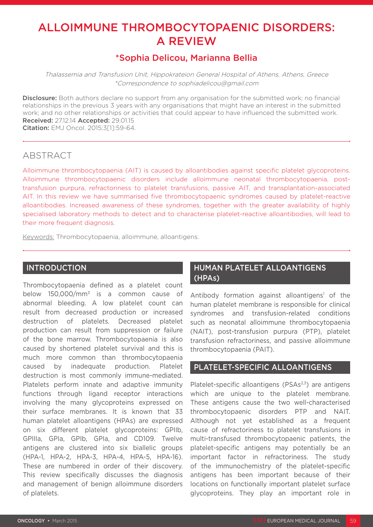# ALLOIMMUNE THROMBOCYTOPAENIC DISORDERS: A REVIEW

## \*Sophia Delicou, Marianna Bellia

Thalassemia and Transfusion Unit, Hippokrateion General Hospital of Athens, Athens, Greece \*Correspondence to sophiadelicou@gmail.com

**Disclosure:** Both authors declare no support from any organisation for the submitted work; no financial relationships in the previous 3 years with any organisations that might have an interest in the submitted work; and no other relationships or activities that could appear to have influenced the submitted work. Received: 27.12.14 Accepted: 29.01.15 Citation: EMJ Oncol. 2015;3[1]:59-64.

## ABSTRACT

Alloimmune thrombocytopaenia (AIT) is caused by alloantibodies against specific platelet glycoproteins. Alloimmune thrombocytopaenic disorders include alloimmune neonatal thrombocytopaenia, posttransfusion purpura, refractoriness to platelet transfusions, passive AIT, and transplantation-associated AIT. In this review we have summarised five thrombocytopaenic syndromes caused by platelet-reactive alloantibodies. Increased awareness of these syndromes, together with the greater availability of highly specialised laboratory methods to detect and to characterise platelet-reactive alloantibodies, will lead to their more frequent diagnosis.

Keywords: Thrombocytopaenia, alloimmune, alloantigens.

## INTRODUCTION

Thrombocytopaenia defined as a platelet count below 150,000/mm3 is a common cause of abnormal bleeding. A low platelet count can result from decreased production or increased destruction of platelets. Decreased platelet production can result from suppression or failure of the bone marrow. Thrombocytopaenia is also caused by shortened platelet survival and this is much more common than thrombocytopaenia caused by inadequate production. Platelet destruction is most commonly immune-mediated. Platelets perform innate and adaptive immunity functions through ligand receptor interactions involving the many glycoproteins expressed on their surface membranes. It is known that 33 human platelet alloantigens (HPAs) are expressed on six different platelet glycoproteins: GPIIb, GPIIIa, GPIa, GPIb, GPIa, and CD109. Twelve antigens are clustered into six biallelic groups (HPA-1, HPA-2, HPA-3, HPA-4, HPA-5, HPA-16). These are numbered in order of their discovery. This review specifically discusses the diagnosis and management of benign alloimmune disorders of platelets.

## HUMAN PLATELET ALLOANTIGENS (HPAs)

Antibody formation against alloantigens<sup>1</sup> of the human platelet membrane is responsible for clinical syndromes and transfusion-related conditions such as neonatal alloimmune thrombocytopaenia (NAIT), post-transfusion purpura (PTP), platelet transfusion refractoriness, and passive alloimmune thrombocytopaenia (PAIT).

## PLATELET-SPECIFIC ALLOANTIGENS

Platelet-specific alloantigens ( $PSAs<sup>2,3</sup>$ ) are antigens which are unique to the platelet membrane. These antigens cause the two well-characterised thrombocytopaenic disorders PTP and NAIT. Although not yet established as a frequent cause of refractoriness to platelet transfusions in multi-transfused thrombocytopaenic patients, the platelet-specific antigens may potentially be an important factor in refractoriness. The study of the immunochemistry of the platelet-specific antigens has been important because of their locations on functionally important platelet surface glycoproteins. They play an important role in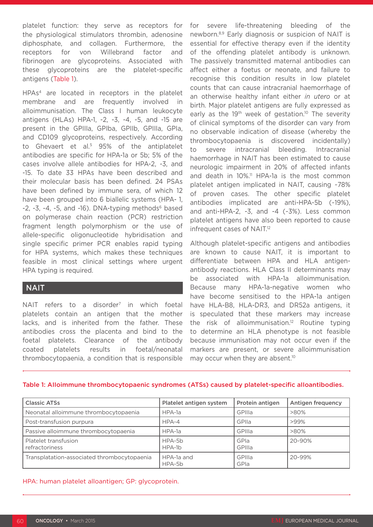platelet function: they serve as receptors for the physiological stimulators thrombin, adenosine diphosphate, and collagen. Furthermore, the receptors for von Willebrand factor and fibrinogen are glycoproteins. Associated with these glycoproteins are the platelet-specific antigens (Table 1).

HPAs4 are located in receptors in the platelet membrane and are frequently involved in alloimmunisation. The Class I human leukocyte antigens (HLAs) HPA-1, -2, -3, -4, -5, and -15 are present in the GPIIIa, GPIba, GPIIb, GPIIIa, GPIa, and CD109 glycoproteins, respectively. According to Ghevaert et al.<sup>5</sup> 95% of the antiplatelet antibodies are specific for HPA-1a or 5b; 5% of the cases involve allele antibodies for HPA-2, -3, and -15. To date 33 HPAs have been described and their molecular basis has been defined. 24 PSAs have been defined by immune sera, of which 12 have been grouped into 6 biallelic systems (HPA- 1,  $-2$ ,  $-3$ ,  $-4$ ,  $-5$ , and  $-16$ ). DNA-typing methods<sup>6</sup> based on polymerase chain reaction (PCR) restriction fragment length polymorphism or the use of allele-specific oligonucleotide hybridisation and single specific primer PCR enables rapid typing for HPA systems, which makes these techniques feasible in most clinical settings where urgent HPA typing is required.

## **NAIT**

NAIT refers to a disorder<sup>7</sup> in which foetal platelets contain an antigen that the mother lacks, and is inherited from the father. These antibodies cross the placenta and bind to the foetal platelets. Clearance of the antibody coated platelets results in foetal/neonatal thrombocytopaenia, a condition that is responsible

for severe life-threatening bleeding of the newborn.8,9 Early diagnosis or suspicion of NAIT is essential for effective therapy even if the identity of the offending platelet antibody is unknown. The passively transmitted maternal antibodies can affect either a foetus or neonate, and failure to recognise this condition results in low platelet counts that can cause intracranial haemorrhage of an otherwise healthy infant either *in utero* or at birth. Major platelet antigens are fully expressed as early as the 19<sup>th</sup> week of gestation.<sup>10</sup> The severity of clinical symptoms of the disorder can vary from no observable indication of disease (whereby the thrombocytopaenia is discovered incidentally) to severe intracranial bleeding. Intracranial haemorrhage in NAIT has been estimated to cause neurologic impairment in 20% of affected infants and death in 10%.<sup>11</sup> HPA-1a is the most common platelet antigen implicated in NAIT, causing ~78% of proven cases. The other specific platelet antibodies implicated are anti-HPA-5b (~19%), and anti-HPA-2, -3, and -4 (~3%). Less common platelet antigens have also been reported to cause infrequent cases of NAIT.12

Although platelet-specific antigens and antibodies are known to cause NAIT, it is important to differentiate between HPA and HLA antigenantibody reactions. HLA Class II determinants may be associated with HPA-1a alloimmunisation. Because many HPA-1a-negative women who have become sensitised to the HPA-1a antigen have HLA-B8, HLA-DR3, and DR52a antigens, it is speculated that these markers may increase the risk of alloimmunisation.<sup>12</sup> Routine typing to determine an HLA phenotype is not feasible because immunisation may not occur even if the markers are present, or severe alloimmunisation may occur when they are absent.<sup>10</sup>

| <b>Classic ATSs</b>                         | Platelet antigen system | Protein antigen | Antigen frequency |
|---------------------------------------------|-------------------------|-----------------|-------------------|
| Neonatal alloimmune thrombocytopaenia       | $HPA-1a$                | GPIIIa          | $>80\%$           |
| Post-transfusion purpura                    | $HPA-4$                 | GPIIa           | $>99\%$           |
| Passive alloimmune thrombocytopaenia        | $HPA-1a$                | GPIIIa          | $>80\%$           |
| Platelet transfusion<br>refractoriness      | HPA-5b<br>$HPA-1b$      | GPIa<br>GPIIIa  | 20-90%            |
| Transplatation-associated thrombocytopaenia | HPA-1a and<br>HPA-5b    | GPIIIa<br>GPIa  | 20-99%            |

#### Table 1: AIIoimmune thrombocytopaenic syndromes (ATSs) caused by platelet-specific aIIoantibodies.

#### HPA: human platelet alloantigen; GP: glycoprotein.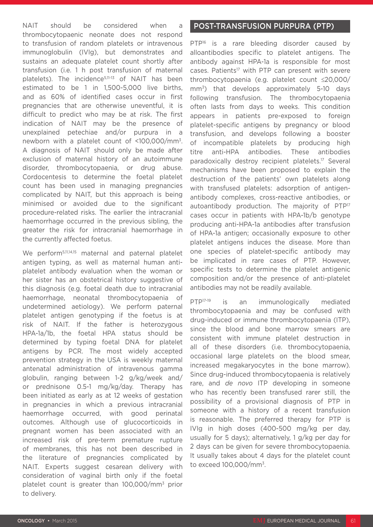NAIT should be considered when a thrombocytopaenic neonate does not respond to transfusion of random platelets or intravenous immunoglobulin (IVIg), but demonstrates and sustains an adequate platelet count shortly after transfusion (i.e. 1 h post transfusion of maternal platelets). The incidence<sup>5,11-13</sup> of NAIT has been estimated to be 1 in 1,500-5,000 live births, and as 60% of identified cases occur in first pregnancies that are otherwise uneventful, it is difficult to predict who may be at risk. The first indication of NAIT may be the presence of unexplained petechiae and/or purpura in a newborn with a platelet count of <100,000/mm3. A diagnosis of NAIT should only be made after exclusion of maternal history of an autoimmune disorder, thrombocytopaenia, or drug abuse. Cordocentesis to determine the foetal platelet count has been used in managing pregnancies complicated by NAIT, but this approach is being minimised or avoided due to the significant procedure-related risks. The earlier the intracranial haemorrhage occurred in the previous sibling, the greater the risk for intracranial haemorrhage in the currently affected foetus.

We perform<sup>5,11,14,15</sup> maternal and paternal platelet antigen typing, as well as maternal human antiplatelet antibody evaluation when the woman or her sister has an obstetrical history suggestive of this diagnosis (e.g. foetal death due to intracranial haemorrhage, neonatal thrombocytopaenia of undetermined aetiology). We perform paternal platelet antigen genotyping if the foetus is at risk of NAIT. If the father is heterozygous HPA-1a/1b, the foetal HPA status should be determined by typing foetal DNA for platelet antigens by PCR. The most widely accepted prevention strategy in the USA is weekly maternal antenatal administration of intravenous gamma globulin, ranging between 1-2 g/kg/week and/ or prednisone 0.5-1 mg/kg/day. Therapy has been initiated as early as at 12 weeks of gestation in pregnancies in which a previous intracranial haemorrhage occurred, with good perinatal outcomes. Although use of glucocorticoids in pregnant women has been associated with an increased risk of pre-term premature rupture of membranes, this has not been described in the literature of pregnancies complicated by NAIT. Experts suggest cesarean delivery with consideration of vaginal birth only if the foetal platelet count is greater than 100,000/mm3 prior to delivery.

## POST-TRANSFUSION PURPURA (PTP)

PTP<sup>16</sup> is a rare bleeding disorder caused by alloantibodies specific to platelet antigens. The antibody against HPA-1a is responsible for most cases. Patients<sup>17</sup> with PTP can present with severe thrombocytopaenia (e.g. platelet count ≤20,000/ mm<sup>3</sup>) that develops approximately 5-10 days following transfusion. The thrombocytopaenia often lasts from days to weeks. This condition appears in patients pre-exposed to foreign platelet-specific antigens by pregnancy or blood transfusion, and develops following a booster of incompatible platelets by producing high titre anti-HPA antibodies. These antibodies paradoxically destroy recipient platelets.17 Several mechanisms have been proposed to explain the destruction of the patients' own platelets along with transfused platelets: adsorption of antigenantibody complexes, cross-reactive antibodies, or autoantibody production. The majority of PTP<sup>17</sup> cases occur in patients with HPA-1b/b genotype producing anti-HPA-1a antibodies after transfusion of HPA-1a antigen; occasionally exposure to other platelet antigens induces the disease. More than one species of platelet-specific antibody may be implicated in rare cases of PTP. However, specific tests to determine the platelet antigenic composition and/or the presence of anti-platelet antibodies may not be readily available.

PTP<sup>17-19</sup> is an immunologically mediated thrombocytopaenia and may be confused with drug-induced or immune thrombocytopaenia (ITP), since the blood and bone marrow smears are consistent with immune platelet destruction in all of these disorders (i.e. thrombocytopaenia, occasional large platelets on the blood smear, increased megakaryocytes in the bone marrow). Since drug-induced thrombocytopaenia is relatively rare, and *de novo* ITP developing in someone who has recently been transfused rarer still, the possibility of a provisional diagnosis of PTP in someone with a history of a recent transfusion is reasonable. The preferred therapy for PTP is IVIg in high doses (400-500 mg/kg per day, usually for 5 days); alternatively, 1 g/kg per day for 2 days can be given for severe thrombocytopaenia. It usually takes about 4 days for the platelet count to exceed 100,000/mm3.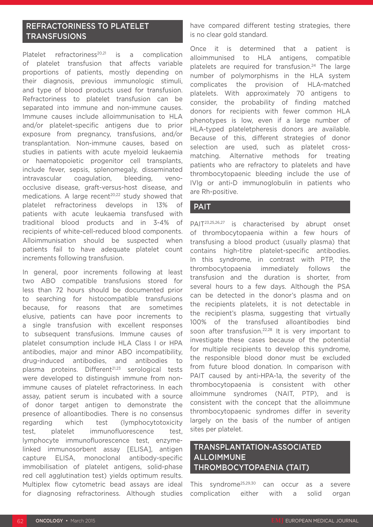## REFRACTORINESS TO PLATELET **TRANSFUSIONS**

Platelet refractoriness<sup>20,21</sup> is a complication of platelet transfusion that affects variable proportions of patients, mostly depending on their diagnosis, previous immunologic stimuli, and type of blood products used for transfusion. Refractoriness to platelet transfusion can be separated into immune and non-immune causes. Immune causes include alloimmunisation to HLA and/or platelet-specific antigens due to prior exposure from pregnancy, transfusions, and/or transplantation. Non-immune causes, based on studies in patients with acute myeloid leukaemia or haematopoietic progenitor cell transplants, include fever, sepsis, splenomegaly, disseminated intravascular coagulation, bleeding, venoocclusive disease, graft-versus-host disease, and medications. A large recent<sup>20,22</sup> study showed that platelet refractoriness develops in 13% of patients with acute leukaemia transfused with traditional blood products and in 3-4% of recipients of white-cell-reduced blood components. Alloimmunisation should be suspected when patients fail to have adequate platelet count increments following transfusion.

In general, poor increments following at least two ABO compatible transfusions stored for less than 72 hours should be documented prior to searching for histocompatible transfusions because, for reasons that are sometimes elusive, patients can have poor increments to a single transfusion with excellent responses to subsequent transfusions. Immune causes of platelet consumption include HLA Class I or HPA antibodies, major and minor ABO incompatibility, drug-induced antibodies, and antibodies to plasma proteins. Different<sup>21,23</sup> serological tests were developed to distinguish immune from nonimmune causes of platelet refractoriness. In each assay, patient serum is incubated with a source of donor target antigen to demonstrate the presence of alloantibodies. There is no consensus regarding which test (lymphocytotoxicity test, platelet immunofluorescence test, lymphocyte immunofluorescence test, enzymelinked immunosorbent assay [ELISA], antigen capture ELISA, monoclonal antibody-specific immobilisation of platelet antigens, solid-phase red cell agglutination test) yields optimum results. Multiplex flow cytometric bead assays are ideal for diagnosing refractoriness. Although studies have compared different testing strategies, there is no clear gold standard.

Once it is determined that a patient is alloimmunised to HLA antigens, compatible platelets are required for transfusion.<sup>24</sup> The large number of polymorphisms in the HLA system complicates the provision of HLA-matched platelets. With approximately 70 antigens to consider, the probability of finding matched donors for recipients with fewer common HLA phenotypes is low, even if a large number of HLA-typed plateletpheresis donors are available. Because of this, different strategies of donor selection are used, such as platelet crossmatching. Alternative methods for treating patients who are refractory to platelets and have thrombocytopaenic bleeding include the use of IVIg or anti-D immunoglobulin in patients who are Rh-positive.

## **PAIT**

PAIT23,25,26,27 is characterised by abrupt onset of thrombocytopaenia within a few hours of transfusing a blood product (usually plasma) that contains high-titre platelet-specific antibodies. In this syndrome, in contrast with PTP, the thrombocytopaenia immediately follows the transfusion and the duration is shorter, from several hours to a few days. Although the PSA can be detected in the donor's plasma and on the recipients platelets, it is not detectable in the recipient's plasma, suggesting that virtually 100% of the transfused alloantibodies bind soon after transfusion.<sup>22,28</sup> It is very important to investigate these cases because of the potential for multiple recipients to develop this syndrome, the responsible blood donor must be excluded from future blood donation. In comparison with PAIT caused by anti-HPA-1a, the severity of the thrombocytopaenia is consistent with other alloimmune syndromes (NAIT, PTP), and is consistent with the concept that the alloimmune thrombocytopaenic syndromes differ in severity largely on the basis of the number of antigen sites per platelet.

## TRANSPLANTATION-ASSOCIATED ALLOIMMUNE THROMBOCYTOPAENIA (TAIT)

This syndrome25,29,30 can occur as a severe complication either with a solid organ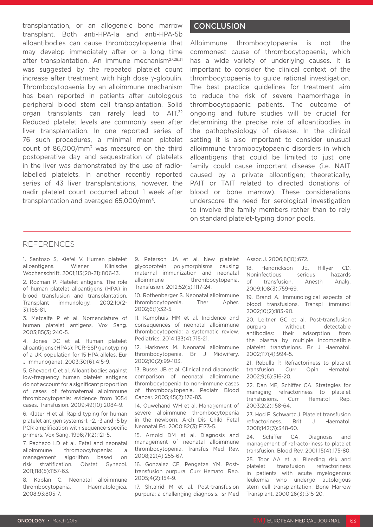transplantation, or an allogeneic bone marrow transplant. Both anti-HPA-1a and anti-HPA-5b alloantibodies can cause thrombocytopaenia that may develop immediately after or a long time after transplantation. An immune mechanism<sup>27,28,31</sup> was suggested by the repeated platelet count increase after treatment with high dose γ-globulin. Thrombocytopaenia by an alloimmune mechanism has been reported in patients after autologous peripheral blood stem cell transplantation. Solid organ transplants can rarely lead to AIT.<sup>32</sup> Reduced platelet levels are commonly seen after liver transplantation. In one reported series of 76 such procedures, a minimal mean platelet count of 86,000/mm3 was measured on the third postoperative day and sequestration of platelets in the liver was demonstrated by the use of radiolabelled platelets. In another recently reported series of 43 liver transplantations, however, the nadir platelet count occurred about 1 week after transplantation and averaged 65,000/mm3.

## **CONCLUSION**

Alloimmune thrombocytopaenia is not the commonest cause of thrombocytopaenia, which has a wide variety of underlying causes. It is important to consider the clinical context of the thrombocytopaenia to guide rational investigation. The best practice guidelines for treatment aim to reduce the risk of severe haemorrhage in thrombocytopaenic patients. The outcome of ongoing and future studies will be crucial for determining the precise role of alloantibodies in the pathophysiology of disease. In the clinical setting it is also important to consider unusual alloimmune thrombocytopaenic disorders in which alloantigens that could be limited to just one family could cause important disease (i.e. NAIT caused by a private alloantigen; theoretically, PAIT or TAIT related to directed donations of blood or bone marrow). These considerations underscore the need for serological investigation to involve the family members rather than to rely on standard platelet-typing donor pools.

### REFERENCES

1. Santoso S, Kiefel V. Human platelet alloantigens. Wiener Klinische Wochenschrift. 2001;113(20-21):806-13.

2. Rozman P. Platelet antigens. The role of human platelet alloantigens (HPA) in blood transfusion and transplantation. Transplant immunology. 2002;10(2- 3):165-81.

3. Metcalfe P et al. Nomenclature of human platelet antigens. Vox Sang. 2003;85(3):240-5.

4. Jones DC et al. Human platelet alloantigens (HPAs): PCR-SSP genotyping of a UK population for 15 HPA alleles. Eur J Immunogenet. 2003;30(6):415-9.

5. Ghevaert C et al. Alloantibodies against low-frequency human platelet antigens do not account for a significant proportion of cases of fetomaternal alloimmune thrombocytopenia: evidence from 1054 cases. Transfusion. 2009;49(10):2084-9.

6. Klüter H et al. Rapid typing for human platelet antigen systems-1, -2, -3 and -5 by PCR amplification with sequence-specific primers. Vox Sang. 1996;71(2):121-5.

7. Pacheco LD et al. Fetal and neonatal alloimmune thrombocytopenia: a management algorithm based on risk stratification. Obstet Gynecol. 2011;118(5):1157-63.

8. Kaplan C. Neonatal alloimmune thrombocytopenia. Haematologica. 2008;93:805-7.

9. Peterson JA et al. New platelet glycoprotein polymorphisms causing maternal immunization and neonatal alloimmune thrombocytopenia. Transfusion. 2012;52(5):1117-24.

10. Rothenberger S. Neonatal alloimmune thrombocytopenia. Ther Apher. 2002;6(1):32-5.

11. Kamphuis MM et al. Incidence and consequences of neonatal alloimmune thrombocytopenia: a systematic review. Pediatrics. 2014;133(4):715-21.

12. Harkness M. Neonatal alloimmune thrombocytopenia. Br J Midwifery. 2002;10(2):99-103.

13. Bussel JB et al. Clinical and diagnostic comparison of neonatal alloimmune thrombocytopenia to non-immune cases of thrombocytopenia. Pediatr Blood Cancer. 2005;45(2):176-83.

14. Ouwehand WH et al. Management of severe alloimmune thrombocytopenia in the newborn. Arch Dis Child Fetal Neonatal Ed. 2000;82(3):F173-5.

15. Arnold DM et al. Diagnosis and management of neonatal alloimmune thrombocytopenia. Transfus Med Rev. 2008;22(4):255-67.

16. Gonzalez CE, Pengetze YM. Posttransfusion purpura. Curr Hematol Rep. 2005;4(2):154-9.

17. Shtalrid M et al. Post-transfusion purpura: a challenging diagnosis. Isr Med Assoc J. 2006;8(10):672.

18. Hendrickson JE, Hillyer CD. Noninfectious serious hazards of transfusion. Anesth Analg. 2009;108(3):759-69.

19. Brand A. Immunological aspects of blood transfusions. Transpl immunol 2002;10(2):183-90.

20. Leitner GC et al. Post-transfusion purpura without detectable antibodies: their adsorption from the plasma by multiple incompatible platelet transfusions. Br J Haematol. 2002;117(4):994-5.

21. Rebulla P. Refractoriness to platelet transfusion. Curr Opin Hematol. 2002;9(6):516-20.

22. Dan ME, Schiffer CA. Strategies for managing refractoriness to platelet transfusions. Curr Hematol Rep. 2003;2(2):158-64.

23. Hod E, Schwartz J. Platelet transfusion refractoriness. Brit J Haematol. 2008;142(3):348-60.

24. Schiffer CA. Diagnosis and management of refractoriness to platelet transfusion. Blood Rev. 2001;15(4):175-80.

25. Toor AA et al. Bleeding risk and platelet transfusion refractoriness in patients with acute myelogenous leukemia who undergo autologous stem cell transplantation. Bone Marrow Transplant. 2000;26(3):315-20.